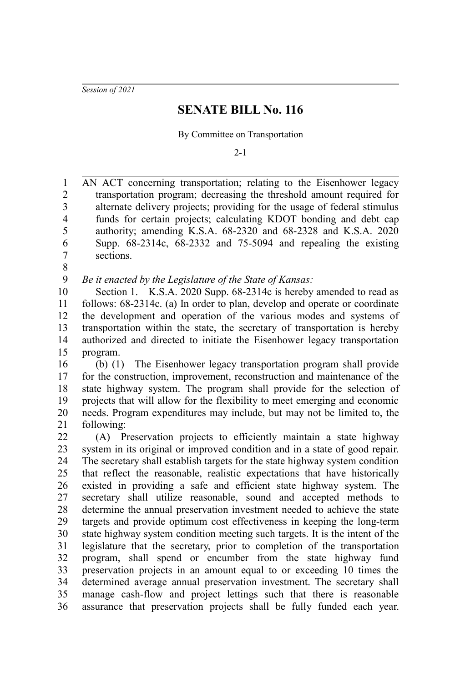*Session of 2021*

## **SENATE BILL No. 116**

By Committee on Transportation

 $2 - 1$ 

AN ACT concerning transportation; relating to the Eisenhower legacy transportation program; decreasing the threshold amount required for alternate delivery projects; providing for the usage of federal stimulus funds for certain projects; calculating KDOT bonding and debt cap authority; amending K.S.A. 68-2320 and 68-2328 and K.S.A. 2020 Supp. 68-2314c, 68-2332 and 75-5094 and repealing the existing sections. 1 2 3 4 5 6 7

8

*Be it enacted by the Legislature of the State of Kansas:* 9

Section 1. K.S.A. 2020 Supp. 68-2314c is hereby amended to read as follows: 68-2314c. (a) In order to plan, develop and operate or coordinate the development and operation of the various modes and systems of transportation within the state, the secretary of transportation is hereby authorized and directed to initiate the Eisenhower legacy transportation program. 10 11 12 13 14 15

(b) (1) The Eisenhower legacy transportation program shall provide for the construction, improvement, reconstruction and maintenance of the state highway system. The program shall provide for the selection of projects that will allow for the flexibility to meet emerging and economic needs. Program expenditures may include, but may not be limited to, the following: 16 17 18 19 20 21

(A) Preservation projects to efficiently maintain a state highway system in its original or improved condition and in a state of good repair. The secretary shall establish targets for the state highway system condition that reflect the reasonable, realistic expectations that have historically existed in providing a safe and efficient state highway system. The secretary shall utilize reasonable, sound and accepted methods to determine the annual preservation investment needed to achieve the state targets and provide optimum cost effectiveness in keeping the long-term state highway system condition meeting such targets. It is the intent of the legislature that the secretary, prior to completion of the transportation program, shall spend or encumber from the state highway fund preservation projects in an amount equal to or exceeding 10 times the determined average annual preservation investment. The secretary shall manage cash-flow and project lettings such that there is reasonable assurance that preservation projects shall be fully funded each year. 22 23 24 25 26 27 28 29 30 31 32 33 34 35 36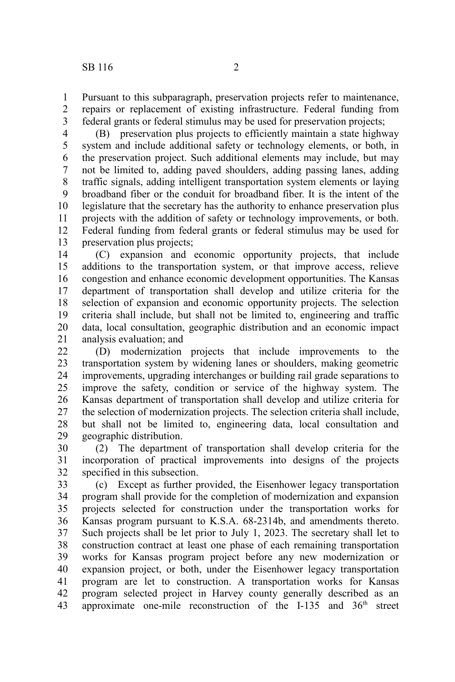Pursuant to this subparagraph, preservation projects refer to maintenance, repairs or replacement of existing infrastructure. Federal funding from federal grants or federal stimulus may be used for preservation projects; 1 2 3

(B) preservation plus projects to efficiently maintain a state highway system and include additional safety or technology elements, or both, in the preservation project. Such additional elements may include, but may not be limited to, adding paved shoulders, adding passing lanes, adding traffic signals, adding intelligent transportation system elements or laying broadband fiber or the conduit for broadband fiber. It is the intent of the legislature that the secretary has the authority to enhance preservation plus projects with the addition of safety or technology improvements, or both. Federal funding from federal grants or federal stimulus may be used for preservation plus projects; 4 5 6 7 8 9 10 11 12 13

(C) expansion and economic opportunity projects, that include additions to the transportation system, or that improve access, relieve congestion and enhance economic development opportunities. The Kansas department of transportation shall develop and utilize criteria for the selection of expansion and economic opportunity projects. The selection criteria shall include, but shall not be limited to, engineering and traffic data, local consultation, geographic distribution and an economic impact analysis evaluation; and 14 15 16 17 18 19 20 21

(D) modernization projects that include improvements to the transportation system by widening lanes or shoulders, making geometric improvements, upgrading interchanges or building rail grade separations to improve the safety, condition or service of the highway system. The Kansas department of transportation shall develop and utilize criteria for the selection of modernization projects. The selection criteria shall include, but shall not be limited to, engineering data, local consultation and geographic distribution. 22 23 24 25 26 27 28 29

(2) The department of transportation shall develop criteria for the incorporation of practical improvements into designs of the projects specified in this subsection. 30 31 32

(c) Except as further provided, the Eisenhower legacy transportation program shall provide for the completion of modernization and expansion projects selected for construction under the transportation works for Kansas program pursuant to K.S.A. 68-2314b, and amendments thereto. Such projects shall be let prior to July 1, 2023. The secretary shall let to construction contract at least one phase of each remaining transportation works for Kansas program project before any new modernization or expansion project, or both, under the Eisenhower legacy transportation program are let to construction. A transportation works for Kansas program selected project in Harvey county generally described as an approximate one-mile reconstruction of the I-135 and  $36<sup>th</sup>$  street 33 34 35 36 37 38 39 40 41 42 43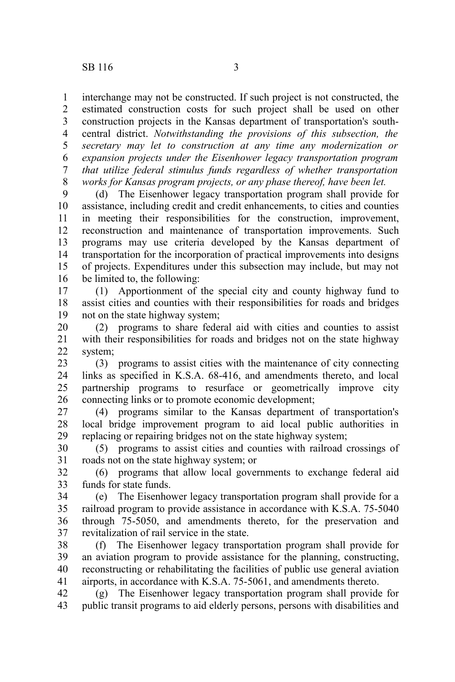interchange may not be constructed. If such project is not constructed, the estimated construction costs for such project shall be used on other construction projects in the Kansas department of transportation's southcentral district. *Notwithstanding the provisions of this subsection, the secretary may let to construction at any time any modernization or expansion projects under the Eisenhower legacy transportation program that utilize federal stimulus funds regardless of whether transportation works for Kansas program projects, or any phase thereof, have been let.* 1 2 3 4 5 6 7 8

(d) The Eisenhower legacy transportation program shall provide for assistance, including credit and credit enhancements, to cities and counties in meeting their responsibilities for the construction, improvement, reconstruction and maintenance of transportation improvements. Such programs may use criteria developed by the Kansas department of transportation for the incorporation of practical improvements into designs of projects. Expenditures under this subsection may include, but may not be limited to, the following: 9 10 11 12 13 14 15 16

(1) Apportionment of the special city and county highway fund to assist cities and counties with their responsibilities for roads and bridges not on the state highway system; 17 18 19

(2) programs to share federal aid with cities and counties to assist with their responsibilities for roads and bridges not on the state highway system; 20 21 22

(3) programs to assist cities with the maintenance of city connecting links as specified in K.S.A. 68-416, and amendments thereto, and local partnership programs to resurface or geometrically improve city connecting links or to promote economic development; 23 24 25 26

(4) programs similar to the Kansas department of transportation's local bridge improvement program to aid local public authorities in replacing or repairing bridges not on the state highway system; 27 28 29

(5) programs to assist cities and counties with railroad crossings of roads not on the state highway system; or 30 31

(6) programs that allow local governments to exchange federal aid funds for state funds. 32 33

(e) The Eisenhower legacy transportation program shall provide for a railroad program to provide assistance in accordance with K.S.A. 75-5040 through 75-5050, and amendments thereto, for the preservation and revitalization of rail service in the state. 34 35 36 37

(f) The Eisenhower legacy transportation program shall provide for an aviation program to provide assistance for the planning, constructing, reconstructing or rehabilitating the facilities of public use general aviation airports, in accordance with K.S.A. 75-5061, and amendments thereto. 38 39 40 41

(g) The Eisenhower legacy transportation program shall provide for public transit programs to aid elderly persons, persons with disabilities and 42 43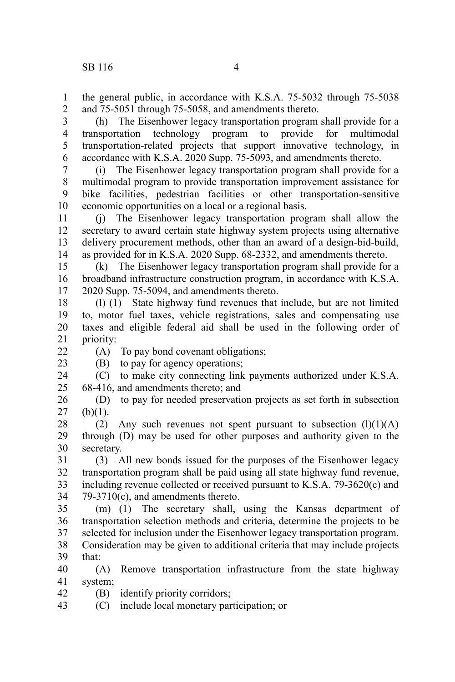the general public, in accordance with K.S.A. 75-5032 through 75-5038 and 75-5051 through 75-5058, and amendments thereto. 1 2

(h) The Eisenhower legacy transportation program shall provide for a transportation technology program to provide for multimodal transportation-related projects that support innovative technology, in accordance with K.S.A. 2020 Supp. 75-5093, and amendments thereto. 3 4 5 6

(i) The Eisenhower legacy transportation program shall provide for a multimodal program to provide transportation improvement assistance for bike facilities, pedestrian facilities or other transportation-sensitive economic opportunities on a local or a regional basis. 7 8 9 10

(j) The Eisenhower legacy transportation program shall allow the secretary to award certain state highway system projects using alternative delivery procurement methods, other than an award of a design-bid-build, as provided for in K.S.A. 2020 Supp. 68-2332, and amendments thereto. 11 12 13 14

(k) The Eisenhower legacy transportation program shall provide for a broadband infrastructure construction program, in accordance with K.S.A. 2020 Supp. 75-5094, and amendments thereto. 15 16 17

(l) (1) State highway fund revenues that include, but are not limited to, motor fuel taxes, vehicle registrations, sales and compensating use taxes and eligible federal aid shall be used in the following order of priority: 18 19 20 21

22

23

42

(B) to pay for agency operations;

(A) To pay bond covenant obligations;

(C) to make city connecting link payments authorized under K.S.A. 68-416, and amendments thereto; and 24 25

(D) to pay for needed preservation projects as set forth in subsection  $(b)(1)$ . 26 27

(2) Any such revenues not spent pursuant to subsection  $(l)(1)(A)$ through (D) may be used for other purposes and authority given to the secretary. 28 29 30

(3) All new bonds issued for the purposes of the Eisenhower legacy transportation program shall be paid using all state highway fund revenue, including revenue collected or received pursuant to K.S.A. 79-3620(c) and 79-3710(c), and amendments thereto. 31 32 33 34

(m) (1) The secretary shall, using the Kansas department of transportation selection methods and criteria, determine the projects to be selected for inclusion under the Eisenhower legacy transportation program. 35 36 37

Consideration may be given to additional criteria that may include projects that: 38 39

(A) Remove transportation infrastructure from the state highway system; 40 41

(B) identify priority corridors;

(C) include local monetary participation; or 43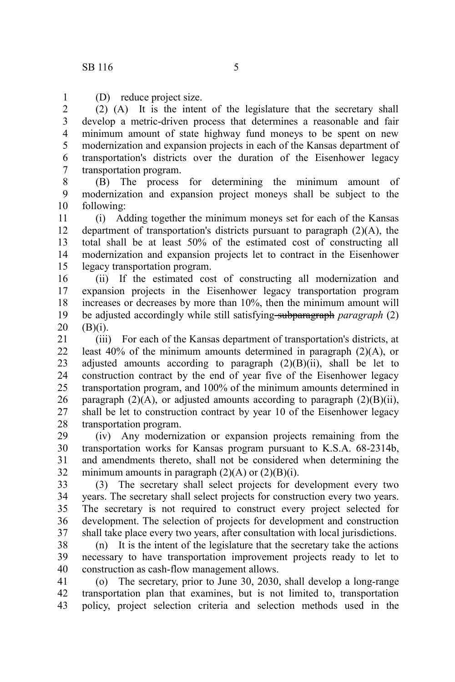1

(D) reduce project size.

(2) (A) It is the intent of the legislature that the secretary shall develop a metric-driven process that determines a reasonable and fair minimum amount of state highway fund moneys to be spent on new modernization and expansion projects in each of the Kansas department of transportation's districts over the duration of the Eisenhower legacy transportation program. 2 3 4 5 6 7

(B) The process for determining the minimum amount of modernization and expansion project moneys shall be subject to the following: 8 9 10

(i) Adding together the minimum moneys set for each of the Kansas department of transportation's districts pursuant to paragraph  $(2)(A)$ , the total shall be at least 50% of the estimated cost of constructing all modernization and expansion projects let to contract in the Eisenhower legacy transportation program. 11 12 13 14 15

(ii) If the estimated cost of constructing all modernization and expansion projects in the Eisenhower legacy transportation program increases or decreases by more than 10%, then the minimum amount will be adjusted accordingly while still satisfying subparagraph *paragraph* (2) (B)(i). 16 17 18 19 20

(iii) For each of the Kansas department of transportation's districts, at least 40% of the minimum amounts determined in paragraph (2)(A), or adjusted amounts according to paragraph  $(2)(B)(ii)$ , shall be let to construction contract by the end of year five of the Eisenhower legacy transportation program, and 100% of the minimum amounts determined in paragraph  $(2)(A)$ , or adjusted amounts according to paragraph  $(2)(B)(ii)$ , shall be let to construction contract by year 10 of the Eisenhower legacy transportation program. 21 22 23 24 25 26 27 28

(iv) Any modernization or expansion projects remaining from the transportation works for Kansas program pursuant to K.S.A. 68-2314b, and amendments thereto, shall not be considered when determining the minimum amounts in paragraph  $(2)(A)$  or  $(2)(B)(i)$ . 29 30 31 32

(3) The secretary shall select projects for development every two years. The secretary shall select projects for construction every two years. The secretary is not required to construct every project selected for development. The selection of projects for development and construction shall take place every two years, after consultation with local jurisdictions. 33 34 35 36 37

(n) It is the intent of the legislature that the secretary take the actions necessary to have transportation improvement projects ready to let to construction as cash-flow management allows. 38 39 40

(o) The secretary, prior to June 30, 2030, shall develop a long-range transportation plan that examines, but is not limited to, transportation policy, project selection criteria and selection methods used in the 41 42 43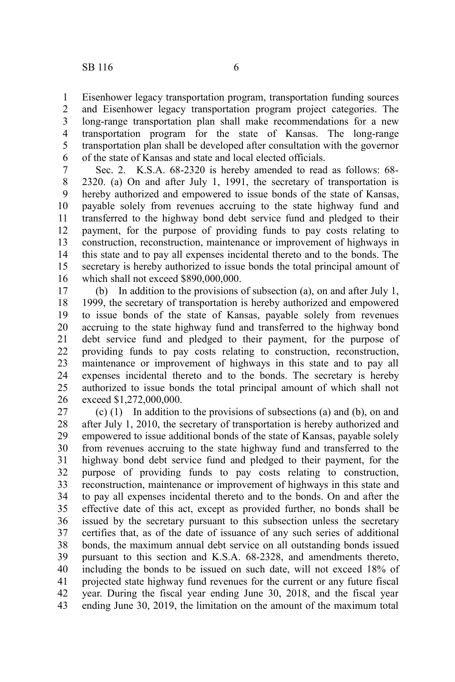Eisenhower legacy transportation program, transportation funding sources and Eisenhower legacy transportation program project categories. The long-range transportation plan shall make recommendations for a new transportation program for the state of Kansas. The long-range transportation plan shall be developed after consultation with the governor of the state of Kansas and state and local elected officials. 1 2 3 4 5 6

Sec. 2. K.S.A. 68-2320 is hereby amended to read as follows: 68- 2320. (a) On and after July 1, 1991, the secretary of transportation is hereby authorized and empowered to issue bonds of the state of Kansas, payable solely from revenues accruing to the state highway fund and transferred to the highway bond debt service fund and pledged to their payment, for the purpose of providing funds to pay costs relating to construction, reconstruction, maintenance or improvement of highways in this state and to pay all expenses incidental thereto and to the bonds. The secretary is hereby authorized to issue bonds the total principal amount of which shall not exceed \$890,000,000. 7 8 9 10 11 12 13 14 15 16

(b) In addition to the provisions of subsection (a), on and after July 1, 1999, the secretary of transportation is hereby authorized and empowered to issue bonds of the state of Kansas, payable solely from revenues accruing to the state highway fund and transferred to the highway bond debt service fund and pledged to their payment, for the purpose of providing funds to pay costs relating to construction, reconstruction, maintenance or improvement of highways in this state and to pay all expenses incidental thereto and to the bonds. The secretary is hereby authorized to issue bonds the total principal amount of which shall not exceed \$1,272,000,000. 17 18 19 20 21 22 23 24 25 26

(c) (1) In addition to the provisions of subsections (a) and (b), on and after July 1, 2010, the secretary of transportation is hereby authorized and empowered to issue additional bonds of the state of Kansas, payable solely from revenues accruing to the state highway fund and transferred to the highway bond debt service fund and pledged to their payment, for the purpose of providing funds to pay costs relating to construction, reconstruction, maintenance or improvement of highways in this state and to pay all expenses incidental thereto and to the bonds. On and after the effective date of this act, except as provided further, no bonds shall be issued by the secretary pursuant to this subsection unless the secretary certifies that, as of the date of issuance of any such series of additional bonds, the maximum annual debt service on all outstanding bonds issued pursuant to this section and K.S.A. 68-2328, and amendments thereto, including the bonds to be issued on such date, will not exceed 18% of projected state highway fund revenues for the current or any future fiscal year. During the fiscal year ending June 30, 2018, and the fiscal year ending June 30, 2019, the limitation on the amount of the maximum total 27 28 29 30 31 32 33 34 35 36 37 38 39 40 41 42 43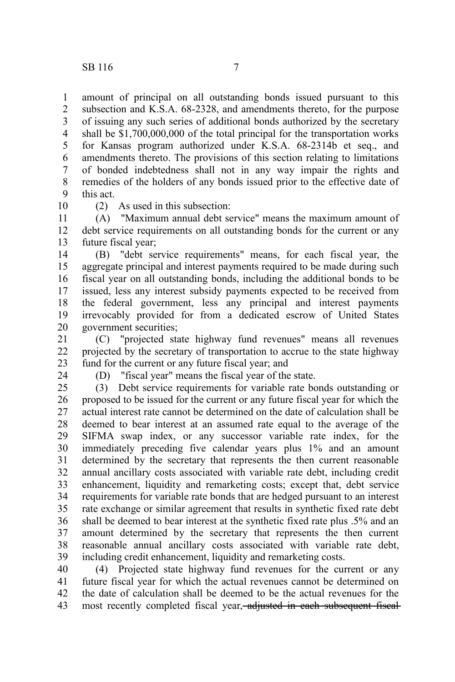amount of principal on all outstanding bonds issued pursuant to this subsection and K.S.A. 68-2328, and amendments thereto, for the purpose of issuing any such series of additional bonds authorized by the secretary shall be \$1,700,000,000 of the total principal for the transportation works for Kansas program authorized under K.S.A. 68-2314b et seq., and amendments thereto. The provisions of this section relating to limitations of bonded indebtedness shall not in any way impair the rights and remedies of the holders of any bonds issued prior to the effective date of this act. 1 2 3 4 5 6 7 8 9

10

(2) As used in this subsection:

(A) "Maximum annual debt service" means the maximum amount of debt service requirements on all outstanding bonds for the current or any future fiscal year; 11 12 13

(B) "debt service requirements" means, for each fiscal year, the aggregate principal and interest payments required to be made during such fiscal year on all outstanding bonds, including the additional bonds to be issued, less any interest subsidy payments expected to be received from the federal government, less any principal and interest payments irrevocably provided for from a dedicated escrow of United States government securities; 14 15 16 17 18 19 20

(C) "projected state highway fund revenues" means all revenues projected by the secretary of transportation to accrue to the state highway fund for the current or any future fiscal year; and 21 22 23

24

(D) "fiscal year" means the fiscal year of the state.

(3) Debt service requirements for variable rate bonds outstanding or proposed to be issued for the current or any future fiscal year for which the actual interest rate cannot be determined on the date of calculation shall be deemed to bear interest at an assumed rate equal to the average of the SIFMA swap index, or any successor variable rate index, for the immediately preceding five calendar years plus 1% and an amount determined by the secretary that represents the then current reasonable annual ancillary costs associated with variable rate debt, including credit enhancement, liquidity and remarketing costs; except that, debt service requirements for variable rate bonds that are hedged pursuant to an interest rate exchange or similar agreement that results in synthetic fixed rate debt shall be deemed to bear interest at the synthetic fixed rate plus .5% and an amount determined by the secretary that represents the then current reasonable annual ancillary costs associated with variable rate debt, including credit enhancement, liquidity and remarketing costs. 25 26 27 28 29 30 31 32 33 34 35 36 37 38 39

(4) Projected state highway fund revenues for the current or any future fiscal year for which the actual revenues cannot be determined on the date of calculation shall be deemed to be the actual revenues for the most recently completed fiscal year, adjusted in each subsequent fiscal-40 41 42 43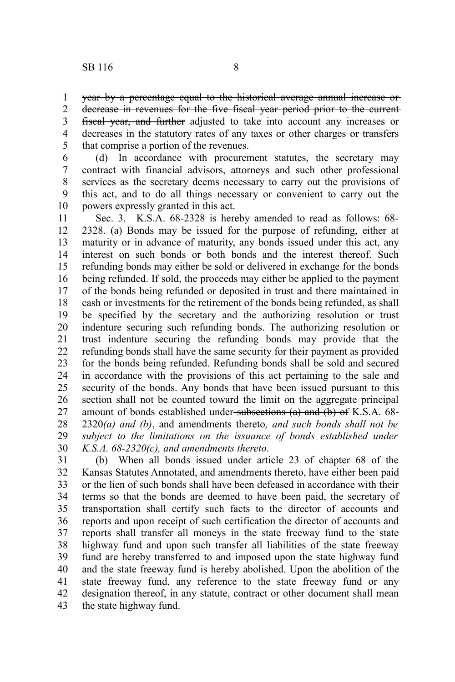year by a percentage equal to the historical average annual increase or 1

decrease in revenues for the five fiscal year period prior to the current fiscal year, and further adjusted to take into account any increases or decreases in the statutory rates of any taxes or other charges or transfers that comprise a portion of the revenues. 2 3 4 5

(d) In accordance with procurement statutes, the secretary may contract with financial advisors, attorneys and such other professional services as the secretary deems necessary to carry out the provisions of this act, and to do all things necessary or convenient to carry out the powers expressly granted in this act. 6 7 8 9 10

Sec. 3. K.S.A. 68-2328 is hereby amended to read as follows: 68- 2328. (a) Bonds may be issued for the purpose of refunding, either at maturity or in advance of maturity, any bonds issued under this act, any interest on such bonds or both bonds and the interest thereof. Such refunding bonds may either be sold or delivered in exchange for the bonds being refunded. If sold, the proceeds may either be applied to the payment of the bonds being refunded or deposited in trust and there maintained in cash or investments for the retirement of the bonds being refunded, as shall be specified by the secretary and the authorizing resolution or trust indenture securing such refunding bonds. The authorizing resolution or trust indenture securing the refunding bonds may provide that the refunding bonds shall have the same security for their payment as provided for the bonds being refunded. Refunding bonds shall be sold and secured in accordance with the provisions of this act pertaining to the sale and security of the bonds. Any bonds that have been issued pursuant to this section shall not be counted toward the limit on the aggregate principal amount of bonds established under-subsections  $(a)$  and  $(b)$  of K.S.A. 68-2320*(a) and (b)*, and amendments thereto*, and such bonds shall not be subject to the limitations on the issuance of bonds established under K.S.A. 68-2320(c), and amendments thereto*. 11 12 13 14 15 16 17 18 19 20 21 22 23 24 25 26 27 28 29 30

(b) When all bonds issued under article 23 of chapter 68 of the Kansas Statutes Annotated, and amendments thereto, have either been paid or the lien of such bonds shall have been defeased in accordance with their terms so that the bonds are deemed to have been paid, the secretary of transportation shall certify such facts to the director of accounts and reports and upon receipt of such certification the director of accounts and reports shall transfer all moneys in the state freeway fund to the state highway fund and upon such transfer all liabilities of the state freeway fund are hereby transferred to and imposed upon the state highway fund and the state freeway fund is hereby abolished. Upon the abolition of the state freeway fund, any reference to the state freeway fund or any designation thereof, in any statute, contract or other document shall mean the state highway fund. 31 32 33 34 35 36 37 38 39 40 41 42 43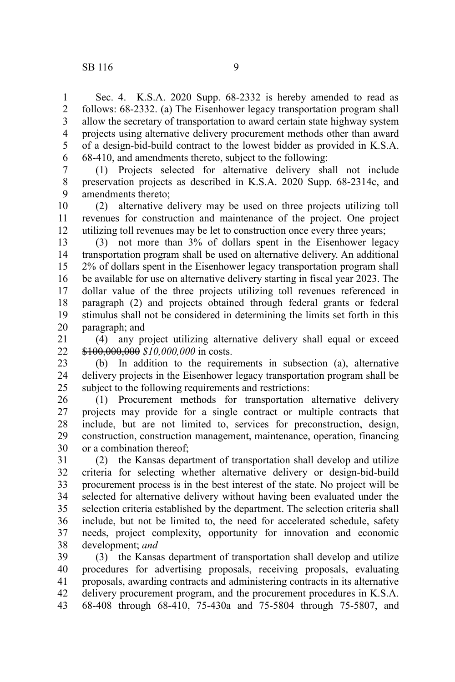Sec. 4. K.S.A. 2020 Supp. 68-2332 is hereby amended to read as follows: 68-2332. (a) The Eisenhower legacy transportation program shall allow the secretary of transportation to award certain state highway system projects using alternative delivery procurement methods other than award of a design-bid-build contract to the lowest bidder as provided in K.S.A. 68-410, and amendments thereto, subject to the following: 1 2 3 4 5 6

(1) Projects selected for alternative delivery shall not include preservation projects as described in K.S.A. 2020 Supp. 68-2314c, and amendments thereto; 7 8 9

(2) alternative delivery may be used on three projects utilizing toll revenues for construction and maintenance of the project. One project utilizing toll revenues may be let to construction once every three years; 10 11 12

(3) not more than 3% of dollars spent in the Eisenhower legacy transportation program shall be used on alternative delivery. An additional 2% of dollars spent in the Eisenhower legacy transportation program shall be available for use on alternative delivery starting in fiscal year 2023. The dollar value of the three projects utilizing toll revenues referenced in paragraph (2) and projects obtained through federal grants or federal stimulus shall not be considered in determining the limits set forth in this paragraph; and 13 14 15 16 17 18 19 20

(4) any project utilizing alternative delivery shall equal or exceed \$100,000,000 *\$10,000,000* in costs. 21 22

(b) In addition to the requirements in subsection (a), alternative delivery projects in the Eisenhower legacy transportation program shall be subject to the following requirements and restrictions: 23 24 25

(1) Procurement methods for transportation alternative delivery projects may provide for a single contract or multiple contracts that include, but are not limited to, services for preconstruction, design, construction, construction management, maintenance, operation, financing or a combination thereof; 26 27 28 29 30

(2) the Kansas department of transportation shall develop and utilize criteria for selecting whether alternative delivery or design-bid-build procurement process is in the best interest of the state. No project will be selected for alternative delivery without having been evaluated under the selection criteria established by the department. The selection criteria shall include, but not be limited to, the need for accelerated schedule, safety needs, project complexity, opportunity for innovation and economic development; *and* 31 32 33 34 35 36 37 38

(3) the Kansas department of transportation shall develop and utilize procedures for advertising proposals, receiving proposals, evaluating proposals, awarding contracts and administering contracts in its alternative delivery procurement program, and the procurement procedures in K.S.A. 68-408 through 68-410, 75-430a and 75-5804 through 75-5807, and 39 40 41 42 43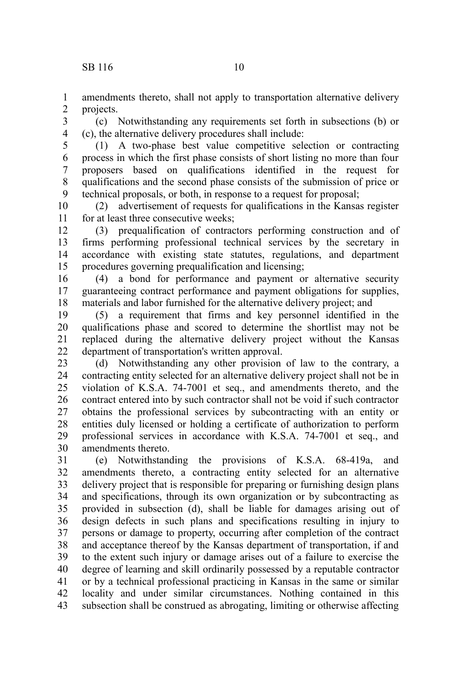amendments thereto, shall not apply to transportation alternative delivery projects. 1 2

(c) Notwithstanding any requirements set forth in subsections (b) or (c), the alternative delivery procedures shall include: 3 4

(1) A two-phase best value competitive selection or contracting process in which the first phase consists of short listing no more than four proposers based on qualifications identified in the request for qualifications and the second phase consists of the submission of price or technical proposals, or both, in response to a request for proposal; 5 6 7 8 9

(2) advertisement of requests for qualifications in the Kansas register for at least three consecutive weeks; 10 11

(3) prequalification of contractors performing construction and of firms performing professional technical services by the secretary in accordance with existing state statutes, regulations, and department procedures governing prequalification and licensing; 12 13 14 15

(4) a bond for performance and payment or alternative security guaranteeing contract performance and payment obligations for supplies, materials and labor furnished for the alternative delivery project; and 16 17 18

(5) a requirement that firms and key personnel identified in the qualifications phase and scored to determine the shortlist may not be replaced during the alternative delivery project without the Kansas department of transportation's written approval. 19 20 21 22

(d) Notwithstanding any other provision of law to the contrary, a contracting entity selected for an alternative delivery project shall not be in violation of K.S.A. 74-7001 et seq., and amendments thereto, and the contract entered into by such contractor shall not be void if such contractor obtains the professional services by subcontracting with an entity or entities duly licensed or holding a certificate of authorization to perform professional services in accordance with K.S.A. 74-7001 et seq., and amendments thereto. 23 24 25 26 27 28 29 30

(e) Notwithstanding the provisions of K.S.A. 68-419a, and amendments thereto, a contracting entity selected for an alternative delivery project that is responsible for preparing or furnishing design plans and specifications, through its own organization or by subcontracting as provided in subsection (d), shall be liable for damages arising out of design defects in such plans and specifications resulting in injury to persons or damage to property, occurring after completion of the contract and acceptance thereof by the Kansas department of transportation, if and to the extent such injury or damage arises out of a failure to exercise the degree of learning and skill ordinarily possessed by a reputable contractor or by a technical professional practicing in Kansas in the same or similar locality and under similar circumstances. Nothing contained in this subsection shall be construed as abrogating, limiting or otherwise affecting 31 32 33 34 35 36 37 38 39 40 41 42 43